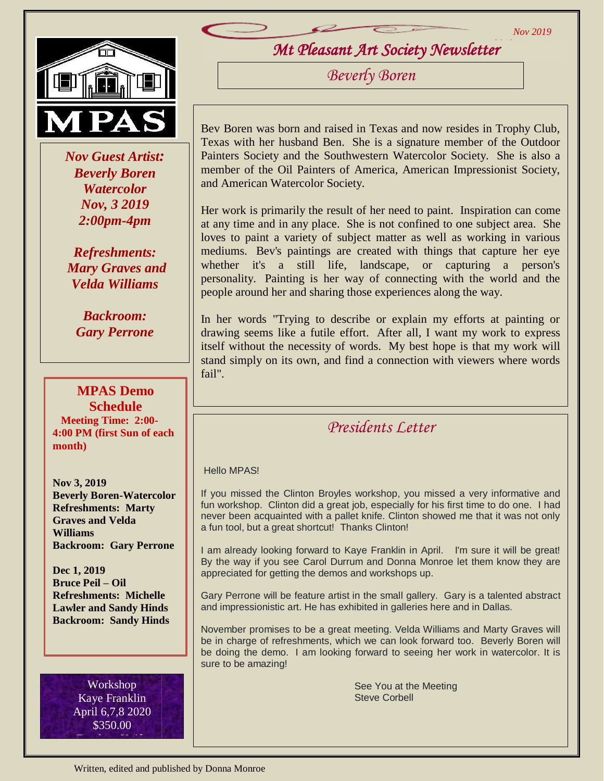*Nov 2019*



 *Nov Guest Artist: Beverly Boren Watercolor Nov, 3 2019 2:00pm-4pm*

*Refreshments: Mary Graves and Velda Williams*

*Backroom: Gary Perrone* 

#### **MPAS Demo Schedule Meeting Time: 2:00- 4:00 PM (first Sun of each month)**

**Nov 3, 2019 Beverly Boren-Watercolor Refreshments: Marty Graves and Velda Williams Backroom: Gary Perrone**

**Dec 1, 2019 Bruce Peil – Oil Refreshments: Michelle Lawler and Sandy Hinds Backroom: Sandy Hinds**

> Workshop Kaye Franklin April 6,7,8 2020 \$350.00 Brush or Knife

*Mt Pleasant Art Society Newsletter 2019*

*Beverly Boren*

Bev Boren was born and raised in Texas and now resides in Trophy Club, Texas with her husband Ben. She is a signature member of the Outdoor Painters Society and the Southwestern Watercolor Society. She is also a member of the Oil Painters of America, American Impressionist Society, and American Watercolor Society.

Her work is primarily the result of her need to paint. Inspiration can come at any time and in any place. She is not confined to one subject area. She loves to paint a variety of subject matter as well as working in various mediums. Bev's paintings are created with things that capture her eye whether it's a still life, landscape, or capturing a person's personality. Painting is her way of connecting with the world and the people around her and sharing those experiences along the way.

In her words "Trying to describe or explain my efforts at painting or drawing seems like a futile effort. After all, I want my work to express itself without the necessity of words. My best hope is that my work will stand simply on its own, and find a connection with viewers where words fail".

### *Presidents Letter*

#### Hello MPAS!

If you missed the Clinton Broyles workshop, you missed a very informative and fun workshop. Clinton did a great job, especially for his first time to do one. I had never been acquainted with a pallet knife. Clinton showed me that it was not only a fun tool, but a great shortcut! Thanks Clinton!

I am already looking forward to Kaye Franklin in April. I'm sure it will be great! By the way if you see Carol Durrum and Donna Monroe let them know they are appreciated for getting the demos and workshops up.

Gary Perrone will be feature artist in the small gallery. Gary is a talented abstract and impressionistic art. He has exhibited in galleries here and in Dallas.

November promises to be a great meeting. Velda Williams and Marty Graves will be in charge of refreshments, which we can look forward too. Beverly Boren will be doing the demo. I am looking forward to seeing her work in watercolor. It is sure to be amazing!

> See You at the Meeting Steve Corbell